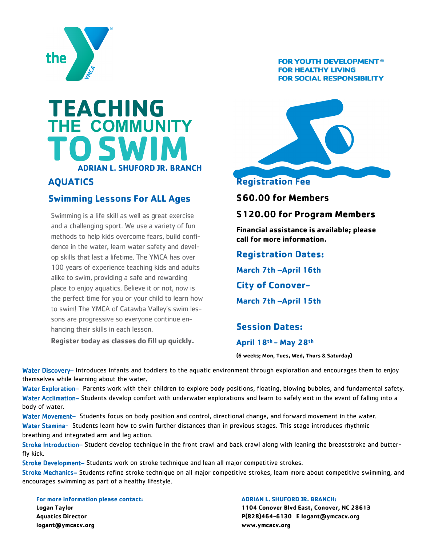

## **TEACHING THE COMMUNITY TO ADRIAN L. SHUFORD JR. BRANCH SWIM**

## **AQUATICS**

## **Swimming Lessons For ALL Ages**

Swimming is a life skill as well as great exercise and a challenging sport. We use a variety of fun methods to help kids overcome fears, build confidence in the water, learn water safety and develop skills that last a lifetime. The YMCA has over 100 years of experience teaching kids and adults alike to swim, providing a safe and rewarding place to enjoy aquatics. Believe it or not, now is the perfect time for you or your child to learn how to swim! The YMCA of Catawba Valley's swim lessons are progressive so everyone continue enhancing their skills in each lesson.

**Register today as classes do fill up quickly.**

#### **FOR YOUTH DEVELOPMENT® FOR HEALTHY LIVING FOR SOCIAL RESPONSIBILITY**



## **Registration Fee**

**\$60.00 for Members**

#### **\$120.00 for Program Members**

**Financial assistance is available; please call for more information.**

**Registration Dates:**

**March 7th –April 16th**

**City of Conover-**

**March 7th –April 15th**

**Session Dates:**

**April 18th - May 28th**

**(6 weeks; Mon, Tues, Wed, Thurs & Saturday)**

Water Discovery– Introduces infants and toddlers to the aquatic environment through exploration and encourages them to enjoy themselves while learning about the water.

Water Exploration– Parents work with their children to explore body positions, floating, blowing bubbles, and fundamental safety. Water Acclimation– Students develop comfort with underwater explorations and learn to safely exit in the event of falling into a body of water.

Water Movement– Students focus on body position and control, directional change, and forward movement in the water. Water Stamina- Students learn how to swim further distances than in previous stages. This stage introduces rhythmic

breathing and integrated arm and leg action.

Stroke Introduction– Student develop technique in the front crawl and back crawl along with leaning the breaststroke and butterfly kick.

Stroke Development– Students work on stroke technique and lean all major competitive strokes.

Stroke Mechanics– Students refine stroke technique on all major competitive strokes, learn more about competitive swimming, and encourages swimming as part of a healthy lifestyle.

**For more information please contact: Logan Taylor Aquatics Director logant@ymcacv.org**

#### **ADRIAN L. SHUFORD JR. BRANCH:**

**1104 Conover Blvd East, Conover, NC 28613 P(828)464-6130 E logant@ymcacv.org www.ymcacv.org**